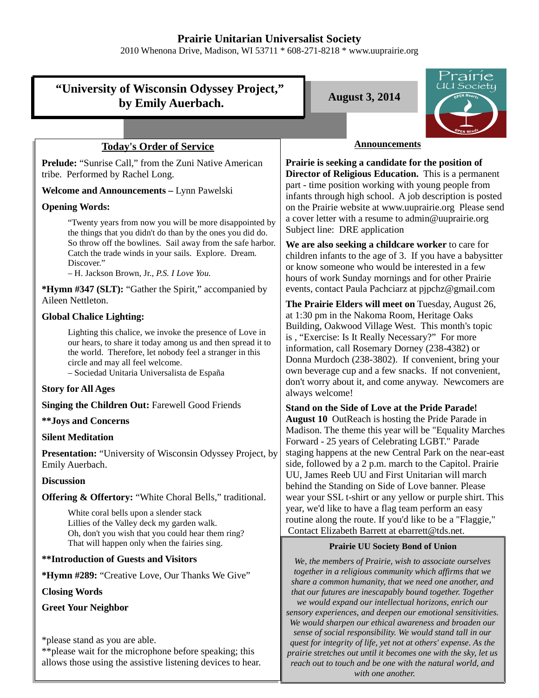## **Prairie Unitarian Universalist Society**

2010 Whenona Drive, Madison, WI 53711 \* 608-271-8218 \* www.uuprairie.org

# **"University of Wisconsin Odyssey Project,"**  by Emily Auerbach. **August 3, 2014**



## **Today's Order of Service**

**Prelude:** "Sunrise Call," from the Zuni Native American tribe. Performed by Rachel Long.

#### **Welcome and Announcements –** Lynn Pawelski

#### **Opening Words:**

"Twenty years from now you will be more disappointed by the things that you didn't do than by the ones you did do. So throw off the bowlines. Sail away from the safe harbor. Catch the trade winds in your sails. Explore. Dream. Discover."

– H. Jackson Brown, Jr., *P.S. I Love You.*

**\*Hymn #347 (SLT):** "Gather the Spirit," accompanied by Aileen Nettleton.

#### **Global Chalice Lighting:**

Lighting this chalice, we invoke the presence of Love in our hears, to share it today among us and then spread it to the world. Therefore, let nobody feel a stranger in this circle and may all feel welcome.

– Sociedad Unitaria Universalista de España

## **Story for All Ages**

**Singing the Children Out: Farewell Good Friends** 

#### **\*\*Joys and Concerns**

#### **Silent Meditation**

**Presentation:** "University of Wisconsin Odyssey Project, by Emily Auerbach.

#### **Discussion**

**Offering & Offertory:** "White Choral Bells," traditional.

White coral bells upon a slender stack Lillies of the Valley deck my garden walk. Oh, don't you wish that you could hear them ring? That will happen only when the fairies sing.

## **\*\*Introduction of Guests and Visitors**

**\*Hymn #289:** "Creative Love, Our Thanks We Give"

#### **Closing Words**

**Greet Your Neighbor**

\*please stand as you are able.

\*\*please wait for the microphone before speaking; this allows those using the assistive listening devices to hear.

#### **Announcements**

**Prairie is seeking a candidate for the position of Director of Religious Education.** This is a permanent part - time position working with young people from infants through high school. A job description is posted on the Prairie website at www.uuprairie.org Please send a cover letter with a resume to admin@uuprairie.org Subject line: DRE application

**We are also seeking a childcare worker** to care for children infants to the age of 3. If you have a babysitter or know someone who would be interested in a few hours of work Sunday mornings and for other Prairie events, contact Paula Pachciarz at pjpchz@gmail.com

**The Prairie Elders will meet on** Tuesday, August 26, at 1:30 pm in the Nakoma Room, Heritage Oaks Building, Oakwood Village West. This month's topic is , "Exercise: Is It Really Necessary?" For more information, call Rosemary Dorney (238-4382) or Donna Murdoch (238-3802). If convenient, bring your own beverage cup and a few snacks. If not convenient, don't worry about it, and come anyway. Newcomers are always welcome!

**Stand on the Side of Love at the Pride Parade! August 10** OutReach is hosting the Pride Parade in Madison. The theme this year will be "Equality Marches Forward - 25 years of Celebrating LGBT." Parade staging happens at the new Central Park on the near-east side, followed by a 2 p.m. march to the Capitol. Prairie UU, James Reeb UU and First Unitarian will march behind the Standing on Side of Love banner. Please wear your SSL t-shirt or any yellow or purple shirt. This year, we'd like to have a flag team perform an easy routine along the route. If you'd like to be a "Flaggie," Contact Elizabeth Barrett at ebarrett@tds.net.

#### **Prairie UU Society Bond of Union**

*We, the members of Prairie, wish to associate ourselves together in a religious community which affirms that we share a common humanity, that we need one another, and that our futures are inescapably bound together. Together we would expand our intellectual horizons, enrich our sensory experiences, and deepen our emotional sensitivities. We would sharpen our ethical awareness and broaden our sense of social responsibility. We would stand tall in our quest for integrity of life, yet not at others' expense. As the prairie stretches out until it becomes one with the sky, let us reach out to touch and be one with the natural world, and with one another.*